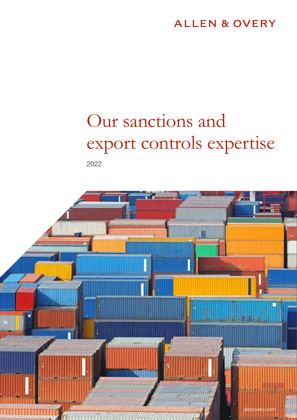### **ALLEN & OVERY**

# Our sanctions and export controls expertise

2022

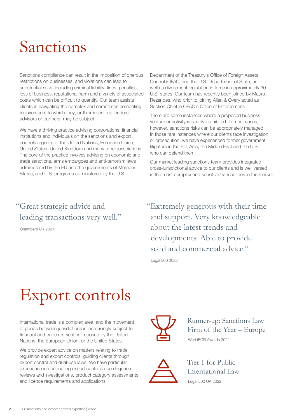## Sanctions

Sanctions compliance can result in the imposition of onerous restrictions on businesses, and violations can lead to substantial risks, including criminal liability, fines, penalties, loss of business, reputational harm and a variety of associated costs which can be difficult to quantify. Our team assists clients in navigating the complex and sometimes competing requirements to which they, or their investors, lenders, advisors or partners, may be subject.

We have a thriving practice advising corporations, financial institutions and individuals on the sanctions and export controls regimes of the United Nations, European Union, United States, United Kingdom and many other jurisdictions. The core of the practice involves advising on economic and trade sanctions, arms embargoes and anti-terrorism laws administered by the EU and the governments of Member States, and U.S. programs administered by the U.S.

### "Great strategic advice and leading transactions very well."

Chambers UK 2021

Department of the Treasury's Office of Foreign Assets Control (OFAC) and the U.S. Department of State, as well as divestment legislation in force in approximately 30 U.S. states. Our team has recently been joined by Maura Rezendes, who prior to joining Allen & Overy acted as Section Chief in OFAC's Office of Enforcement.

There are some instances where a proposed business venture or activity is simply prohibited. In most cases, however, sanctions risks can be appropriately managed. In those rare instances where our clients face investigation or prosecution, we have experienced former government litigators in the EU, Asia, the Middle East and the U.S. who can defend them.

Our market leading sanctions team provides integrated cross-jurisdictional advice to our clients and is well versed in the most complex and sensitive transactions in the market.

"Extremely generous with their time and support. Very knowledgeable about the latest trends and developments. Able to provide solid and commercial advice."

Legal 500 2022

## Export controls

International trade is a complex area, and the movement of goods between jurisdictions is increasingly subject to financial and trade restrictions imposed by the United Nations, the European Union, or the United States.

We provide expert advice on matters relating to trade regulation and export controls, guiding clients through export control and dual-use laws. We have particular experience in conducting export controls due diligence reviews and investigations, product category assessments and licence requirements and applications.



Runner-up: Sanctions Law Firm of the Year – Europe WorldECR Awards 2021



Tier 1 for Public International Law Legal 500 UK 2022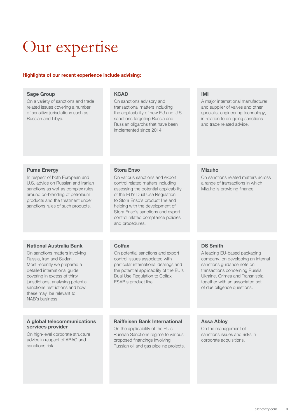## Our expertise

### Highlights of our recent experience include advising:

| <b>Sage Group</b><br>On a variety of sanctions and trade<br>related issues covering a number<br>of sensitive jurisdictions such as<br>Russian and Libya.                                                                                                                                                           | <b>KCAD</b><br>On sanctions advisory and<br>transactional matters including<br>the applicability of new EU and U.S.<br>sanctions targeting Russia and<br>Russian oligarchs that have been<br>implemented since 2014.                                                                                                                        | <b>IMI</b><br>A major international manufacturer<br>and supplier of valves and other<br>specialist engineering technology,<br>in relation to on-going sanctions<br>and trade related advice.                                                                  |
|--------------------------------------------------------------------------------------------------------------------------------------------------------------------------------------------------------------------------------------------------------------------------------------------------------------------|---------------------------------------------------------------------------------------------------------------------------------------------------------------------------------------------------------------------------------------------------------------------------------------------------------------------------------------------|---------------------------------------------------------------------------------------------------------------------------------------------------------------------------------------------------------------------------------------------------------------|
|                                                                                                                                                                                                                                                                                                                    |                                                                                                                                                                                                                                                                                                                                             |                                                                                                                                                                                                                                                               |
| <b>Puma Energy</b><br>In respect of both European and<br>U.S. advice on Russian and Iranian<br>sanctions as well as complex rules<br>around co-blending of petroleum<br>products and the treatment under<br>sanctions rules of such products.                                                                      | <b>Stora Enso</b><br>On various sanctions and export<br>control related matters including<br>assessing the potential applicability<br>of the EU's Dual Use Regulation<br>to Stora Enso's product line and<br>helping with the development of<br>Stora Enso's sanctions and export<br>control related compliance policies<br>and procedures. | <b>Mizuho</b><br>On sanctions related matters across<br>a range of transactions in which<br>Mizuho is providing finance.                                                                                                                                      |
|                                                                                                                                                                                                                                                                                                                    |                                                                                                                                                                                                                                                                                                                                             |                                                                                                                                                                                                                                                               |
| <b>National Australia Bank</b><br>On sanctions matters involving<br>Russia, Iran and Sudan.<br>Most recently we prepared a<br>detailed international guide,<br>covering in excess of thirty<br>jurisdictions, analysing potential<br>sanctions restrictions and how<br>these may be relevant to<br>NAB's business. | Colfax<br>On potential sanctions and export<br>control issues associated with<br>particular international dealings and<br>the potential applicability of the EU's<br>Dual Use Regulation to Colfax<br>ESAB's product line.                                                                                                                  | <b>DS Smith</b><br>A leading EU-based packaging<br>company, on developing an internal<br>sanctions guidance note on<br>transactions concerning Russia,<br>Ukraine, Crimea and Transnistria,<br>together with an associated set<br>of due diligence questions. |
|                                                                                                                                                                                                                                                                                                                    |                                                                                                                                                                                                                                                                                                                                             |                                                                                                                                                                                                                                                               |
| A global telecommunications<br>services provider<br>On high-level corporate structure<br>advice in respect of ABAC and<br>sanctions risk.                                                                                                                                                                          | <b>Raiffeisen Bank International</b><br>On the applicability of the EU's<br>Russian Sanctions regime to various<br>proposed financings involving<br>Russian oil and gas pipeline projects.                                                                                                                                                  | <b>Assa Abloy</b><br>On the management of<br>sanctions issues and risks in<br>corporate acquisitions.                                                                                                                                                         |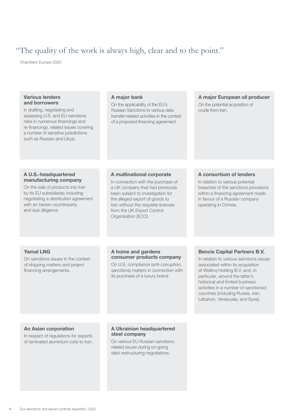### "The quality of the work is always high, clear and to the point."

Chambers Europe 2020

| <b>Various lenders</b><br>and borrowers<br>In drafting, negotiating and<br>assessing U.S. and EU sanctions<br>risks in numerous financings and<br>re-financings. related issues covering<br>a number of sensitive jurisdictions<br>such as Russian and Libya. | A major bank<br>On the applicability of the EU's<br>Russian Sanctions to various data<br>transfer-related activities in the context<br>of a proposed financing agreement.                                                                 | A major European oil producer<br>On the potential acquisition of<br>crude from Iran.                                                                                                                                                                                                                                                          |
|---------------------------------------------------------------------------------------------------------------------------------------------------------------------------------------------------------------------------------------------------------------|-------------------------------------------------------------------------------------------------------------------------------------------------------------------------------------------------------------------------------------------|-----------------------------------------------------------------------------------------------------------------------------------------------------------------------------------------------------------------------------------------------------------------------------------------------------------------------------------------------|
| A U.S.-headquartered                                                                                                                                                                                                                                          | A multinational corporate                                                                                                                                                                                                                 | A consortium of lenders                                                                                                                                                                                                                                                                                                                       |
| manufacturing company<br>On the sale of products into Iran<br>by its EU subsidiaries including<br>negotiating a distribution agreement<br>with an Iranian counterparty<br>and due diligence.                                                                  | In connection with the purchase of<br>a UK company that had previously<br>been subject to investigation for<br>the alleged export of goods to<br>Iran without the requisite licenses<br>from the UK Export Control<br>Organisation (ECO). | In relation to various potential<br>breaches of the sanctions provisions<br>within a financing agreement made<br>in favour of a Russian company<br>operating in Crimea.                                                                                                                                                                       |
|                                                                                                                                                                                                                                                               |                                                                                                                                                                                                                                           |                                                                                                                                                                                                                                                                                                                                               |
| <b>Yamal LNG</b><br>On sanctions issues in the context<br>of shipping matters and project<br>financing arrangements.                                                                                                                                          | A home and gardens<br>consumer products company<br>On U.S. compliance (anti-corruption,<br>sanctions) matters in connection with<br>its purchase of a luxury brand.                                                                       | <b>Bencis Capital Partners B.V.</b><br>In relation to various sanctions issues<br>associated within its acquisition<br>of Welling Holding B.V. and, in<br>particular, around the latter's<br>historical and limited business<br>activities in a number of sanctioned<br>countries (including Russia, Iran,<br>Lebanon, Venezuela, and Syria). |
|                                                                                                                                                                                                                                                               |                                                                                                                                                                                                                                           |                                                                                                                                                                                                                                                                                                                                               |
| <b>An Asian corporation</b><br>In respect of regulations for exports<br>of laminated aluminium coils to Iran.                                                                                                                                                 | A Ukrainian headquartered<br>steel company<br>On various EU Russian sanctions-<br>related issues during on-going<br>debt restructuring negotiations.                                                                                      |                                                                                                                                                                                                                                                                                                                                               |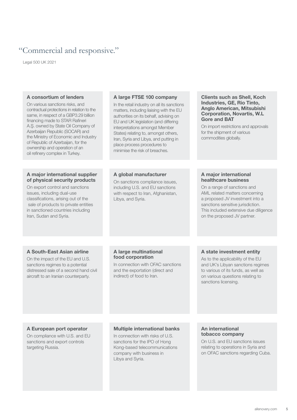### "Commercial and responsive."

Legal 500 UK 2021

| A consortium of lenders<br>On various sanctions risks, and<br>contractual protections in relation to the<br>same, in respect of a GBP3.29 billion<br>financing made to STAR Rafineri<br>A.S. owned by State Oil Company of<br>Azerbaijan Republic (SOCAR) and<br>the Ministry of Economic and Industry<br>of Republic of Azerbaijan, for the<br>ownership and operation of an<br>oil refinery complex in Turkey. | A large FTSE 100 company<br>In the retail industry on all its sanctions<br>matters, including liaising with the EU<br>authorities on its behalf, advising on<br>EU and UK legislation (and differing<br>interpretations amongst Member<br>States) relating to, amongst others,<br>Iran, Syria and Libya, and putting in<br>place process procedures to<br>minimise the risk of breaches. | <b>Clients such as Shell, Koch</b><br>Industries, GE, Rio Tinto,<br>Anglo American, Mitsubishi<br><b>Corporation, Novartis, W.L</b><br><b>Gore and BAT</b><br>On import restrictions and approvals<br>for the shipment of various<br>commodities globally.    |
|------------------------------------------------------------------------------------------------------------------------------------------------------------------------------------------------------------------------------------------------------------------------------------------------------------------------------------------------------------------------------------------------------------------|------------------------------------------------------------------------------------------------------------------------------------------------------------------------------------------------------------------------------------------------------------------------------------------------------------------------------------------------------------------------------------------|---------------------------------------------------------------------------------------------------------------------------------------------------------------------------------------------------------------------------------------------------------------|
|                                                                                                                                                                                                                                                                                                                                                                                                                  |                                                                                                                                                                                                                                                                                                                                                                                          |                                                                                                                                                                                                                                                               |
| A major international supplier<br>of physical security products<br>On export control and sanctions<br>issues, including dual-use<br>classifications, arising out of the<br>sale of products to private entities<br>in sanctioned countries including<br>Iran, Sudan and Syria.                                                                                                                                   | A global manufacturer<br>On sanctions compliance issues,<br>including U.S. and EU sanctions<br>with respect to Iran, Afghanistan,<br>Libya, and Syria.                                                                                                                                                                                                                                   | A major international<br>healthcare business<br>On a range of sanctions and<br>AML related matters concerning<br>a proposed JV investment into a<br>sanctions sensitive jurisdiction.<br>This included extensive due diligence<br>on the proposed JV partner. |
|                                                                                                                                                                                                                                                                                                                                                                                                                  |                                                                                                                                                                                                                                                                                                                                                                                          |                                                                                                                                                                                                                                                               |
| A South-East Asian airline<br>On the impact of the EU and U.S.<br>sanctions regimes to a potential<br>distressed sale of a second hand civil<br>aircraft to an Iranian counterparty.                                                                                                                                                                                                                             | A large multinational<br>food corporation<br>In connection with OFAC sanctions<br>and the exportation (direct and<br>indirect) of food to Iran.                                                                                                                                                                                                                                          | A state investment entity<br>As to the applicability of the EU<br>and UK's Libyan sanctions regimes<br>to various of its funds, as well as<br>on various questions relating to<br>sanctions licensing.                                                        |
|                                                                                                                                                                                                                                                                                                                                                                                                                  |                                                                                                                                                                                                                                                                                                                                                                                          |                                                                                                                                                                                                                                                               |
| A European port operator<br>On compliance with U.S. and EU<br>sanctions and export controls<br>targeting Russia.                                                                                                                                                                                                                                                                                                 | <b>Multiple international banks</b><br>In connection with risks of U.S.<br>sanctions for the IPO of Hong<br>Kong-based telecommunications<br>company with business in<br>Libya and Syria.                                                                                                                                                                                                | An international<br>tobacco company<br>On U.S. and EU sanctions issues<br>relating to operations in Syria and<br>on OFAC sanctions regarding Cuba.                                                                                                            |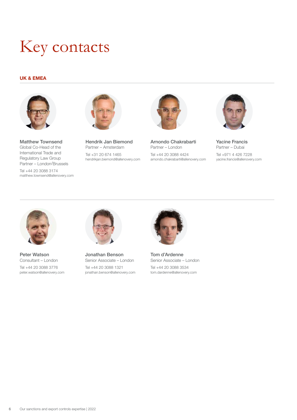## Key contacts

### UK & EMEA



Matthew Townsend Global Co-Head of the International Trade and Regulatory Law Group Partner – London/Brussels

Tel +44 20 3088 3174 matthew.townsend@allenovery.com



Hendrik Jan Biemond Partner – Amsterdam Tel +31 20 674 1465 hendrikjan.biemond@allenovery.com



Arnondo Chakrabarti Partner – London Tel +44 20 3088 4424 arnondo.chakrabarti@allenovery.com



Yacine Francis Partner – Dubai Tel +971 4 426 7228 yacine.francis@allenovery.com



Peter Watson Consultant – London Tel +44 20 3088 3776 peter.watson@allenovery.com



Jonathan Benson Senior Associate – London Tel +44 20 3088 1321 jonathan.benson@allenovery.com



Tom d'Ardenne Senior Associate – London Tel +44 20 3088 3534 tom.dardenne@allenovery.com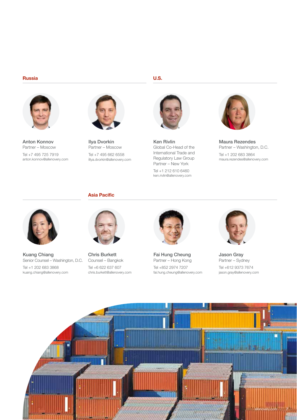#### Russia



Anton Konnov Partner – Moscow Tel +7 495 725 7919 anton.konnov@allenovery.com



Ilya Dvorkin Partner – Moscow Tel +7 495 662 6558 iIlya.dvorkin@allenovery.com

### U.S.



Ken Rivlin Global Co-Head of the International Trade and Regulatory Law Group Partner – New York

Tel +1 212 610 6460 ken.rivlin@allenovery.com



Maura Rezendes Partner – Washington, D.C. Tel +1 202 683 3864 maura.rezendes@allenovery.com



Kuang Chiang Senior Counsel – Washington, D.C. Tel +1 202 683 3868 kuang.chiang@allenovery.com



Asia Pacific

Chris Burkett Counsel – Bangkok Tel +6 622 637 607 chris.burkett@allenovery.com



Fai Hung Cheung Partner – Hong Kong Tel +852 2974 7207 fai.hung.cheung@allenovery.com



Jason Gray Partner – Sydney Tel +612 9373 7674 jason.gray@allenovery.com